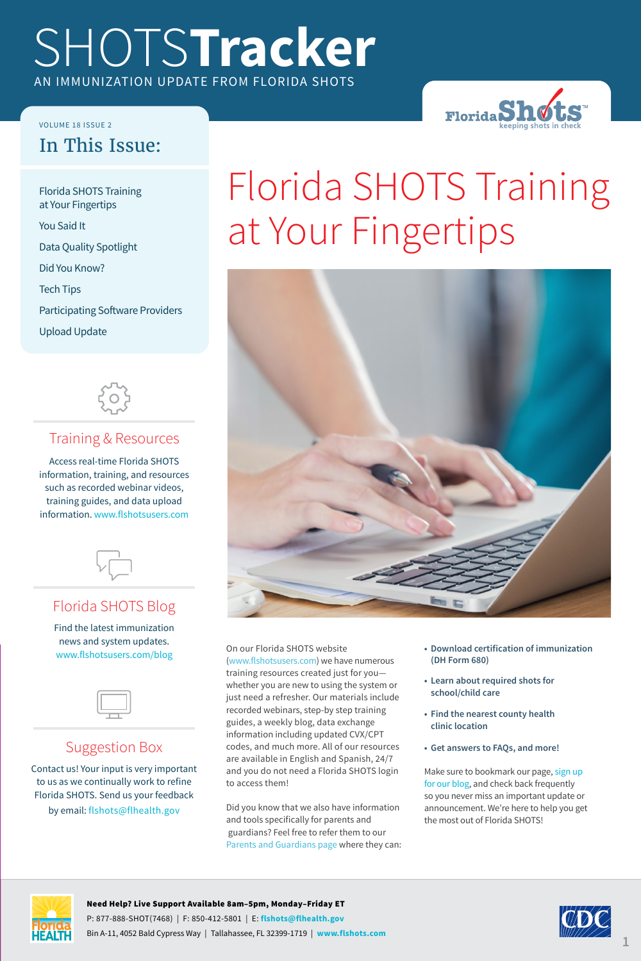# SHOTS**Tracker** AN IMMUNIZATION UPDATE FROM FLORIDA SHOTS

VOLUME 18 ISSUE 2

#### In This Issue:

Florida SHOTS Training at Your Fingertips You Said It Data Quality Spotlight Did You Know? Tech Tips Participating Software Providers Upload Update



#### Training & Resources

Access real-time Florida SHOTS information, training, and resources such as recorded webinar videos, training guides, and data upload information. <www.flshotsusers.com>



#### Florida SHOTS Blog

Find the latest immunization news and system updates. <www.flshotsusers.com/blog>



#### Suggestion Box

Contact us! Your input is very important to us as we continually work to refine Florida SHOTS. Send us your feedback by email: [flshots@flhealth.gov](mailto:flshots%40flhealth.gov?subject=)

# Florida SHOTS Training at Your Fingertips

**Florida**SI



On our Florida SHOTS website ([www.flshotsusers.com](https://www.flshotsusers.com/)) we have numerous training resources created just for you whether you are new to using the system or just need a refresher. Our materials include recorded webinars, step-by step training guides, a weekly blog, data exchange information including updated CVX/CPT codes, and much more. All of our resources are available in English and Spanish, 24/7 and you do not need a Florida SHOTS login to access them!

Did you know that we also have information and tools specifically for parents and guardians? Feel free to refer them to our [Parents and Guardians page](https://flshotsusers.com/parents-guardians) where they can:

- **• Download certification of immunization (DH Form 680)**
- **• Learn about required shots for school/child care**
- **• Find the nearest county health clinic location**
- **• Get answers to FAQs, and more!**

Make sure to bookmark our page, [sign up](https://flshotsusers.com/mailing-list)  [for our blog,](https://flshotsusers.com/mailing-list) and check back frequently so you never miss an important update or announcement. We're here to help you get the most out of Florida SHOTS!



#### Need Help? Live Support Available 8am–5pm, Monday–Friday ET P: 877-888-SHOT(7468) | F: 850-412-5801 | E: **[flshots@flhealth.gov](mailto:flshots%40flhealth.gov?subject=)** Bin A-11, 4052 Bald Cypress Way | Tallahassee, FL 32399-1719 | **[www.flshots.com](https://www.flshotsusers.com)**

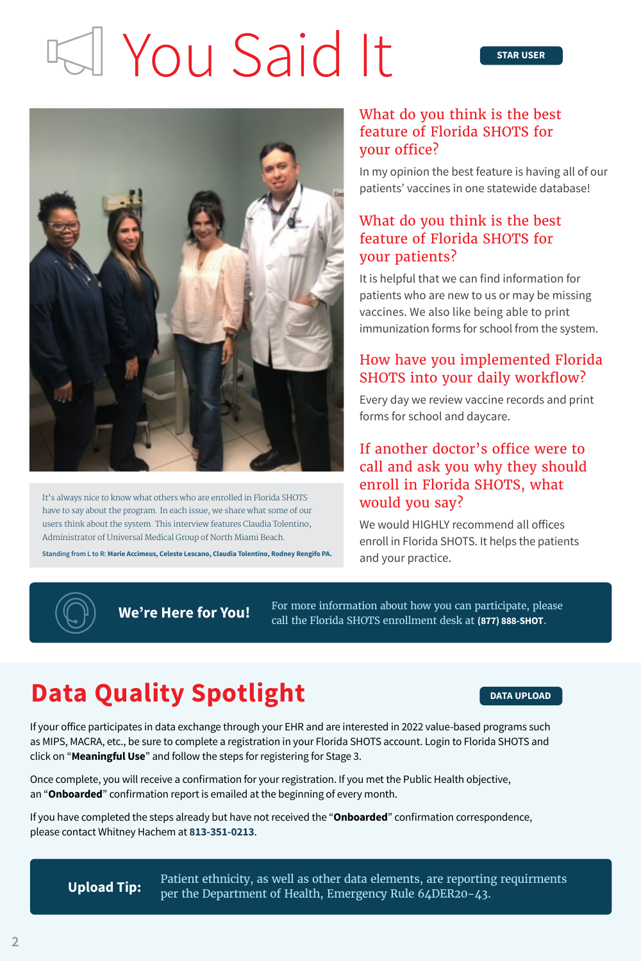# I You Said It



It's always nice to know what others who are enrolled in Florida SHOTS have to say about the program. In each issue, we share what some of our users think about the system. This interview features Claudia Tolentino, Administrator of Universal Medical Group of North Miami Beach.

**Standing from L to R: Marie Accimeus, Celeste Lescano, Claudia Tolentino, Rodney Rengifo PA.**

#### What do you think is the best feature of Florida SHOTS for your office?

In my opinion the best feature is having all of our patients' vaccines in one statewide database!

#### What do you think is the best feature of Florida SHOTS for your patients?

It is helpful that we can find information for patients who are new to us or may be missing vaccines. We also like being able to print immunization forms for school from the system.

#### How have you implemented Florida SHOTS into your daily workflow?

Every day we review vaccine records and print forms for school and daycare.

#### If another doctor's office were to call and ask you why they should enroll in Florida SHOTS, what would you say?

We would HIGHLY recommend all offices enroll in Florida SHOTS. It helps the patients and your practice.



**We're Here for You!** For more information about how you can participate, please  $\text{W}$  **We're Here for You!** call the Florida SHOTS enrollment desk at **(877) 888-SHOT**.

## **Data Quality Spotlight Data DATA UPLOAD**

If your office participates in data exchange through your EHR and are interested in 2022 value-based programs such as MIPS, MACRA, etc., be sure to complete a registration in your Florida SHOTS account. Login to Florida SHOTS and click on "**Meaningful Use**" and follow the steps for registering for Stage 3.

Once complete, you will receive a confirmation for your registration. If you met the Public Health objective, an "**Onboarded**" confirmation report is emailed at the beginning of every month.

If you have completed the steps already but have not received the "**Onboarded**" confirmation correspondence, please contact Whitney Hachem at **813-351-0213**.

Patient ethnicity, as well as other data elements, are reporting requirments **Upload Tip:** Facture Edincity, as well as other data elements, are reporting<br>per the Department of Health, Emergency Rule 64DER20-43.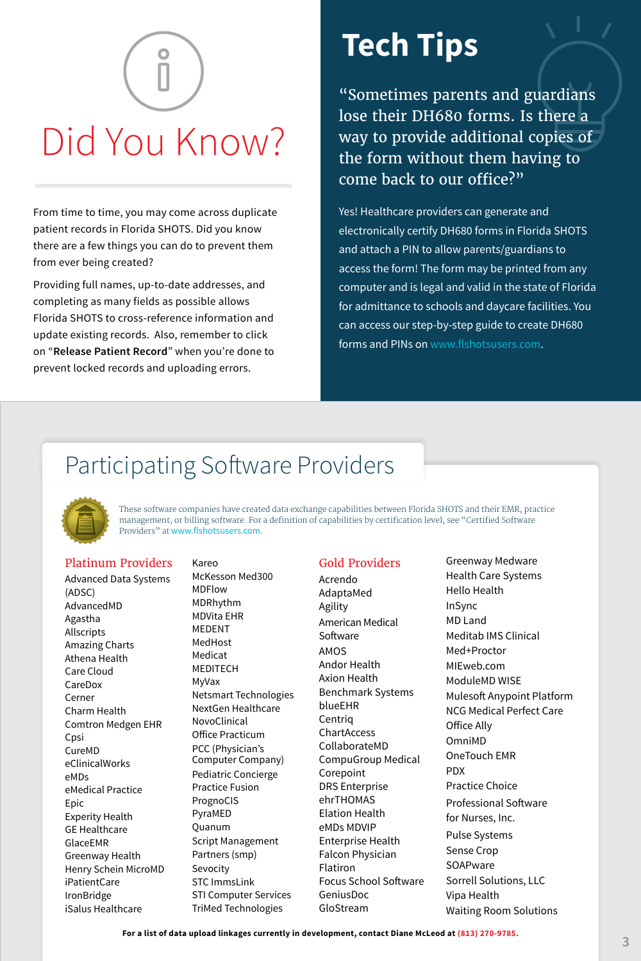# Did You Know?

From time to time, you may come across duplicate patient records in Florida SHOTS. Did you know there are a few things you can do to prevent them from ever being created?

Providing full names, up-to-date addresses, and completing as many fields as possible allows Florida SHOTS to cross-reference information and update existing records. Also, remember to click on "**Release Patient Record**" when you're done to prevent locked records and uploading errors.

# **Tech Tips**

"Sometimes parents and guardians lose their DH680 forms. Is there a way to provide additional copies of the form without them having to come back to our office?"

Yes! Healthcare providers can generate and electronically certify DH680 forms in Florida SHOTS and attach a PIN to allow parents/guardians to access the form! The form may be printed from any computer and is legal and valid in the state of Florida for admittance to schools and daycare facilities. You can access our step-by-step guide to create DH680 forms and PINs on [www.flshotsusers.com.](https://www.flshotsusers.com/)

### Participating Software Providers



These software companies have created data exchange capabilities between Florida SHOTS and their EMR, practice management, or billing software. For a definition of capabilities by certification level, see "Certified Software Providers" at [www.flshotsusers.com.](www.flshotsusers.com)

#### Platinum Providers

Advanced Data Systems (ADSC) AdvancedMD Agastha Allscripts Amazing Charts Athena Health Care Cloud CareDox Cerner Charm Health Comtron Medgen EHR Cpsi CureMD eClinicalWorks eMDs eMedical Practice Epic Experity Health GE Healthcare GlaceEMR Greenway Health Henry Schein MicroMD iPatientCare IronBridge iSalus Healthcare

Kareo McKesson Med300 MDFlow MDRhythm MDVita EHR MEDENT MedHost Medicat MEDITECH MyVax Netsmart Technologies NextGen Healthcare NovoClinical Office Practicum PCC (Physician's Computer Company) Pediatric Concierge Practice Fusion PrognoCIS PyraMED Quanum Script Management Partners (smp) Sevocity STC ImmsLink STI Computer Services TriMed Technologies

#### Gold Providers

Acrendo AdaptaMed Agility American Medical Software AMOS Andor Health Axion Health Benchmark Systems blueEHR Centriq ChartAccess CollaborateMD CompuGroup Medical Corepoint DRS Enterprise ehrTHOMAS Elation Health eMDs MDVIP Enterprise Health Falcon Physician Flatiron Focus School Software GeniusDoc GloStream

Greenway Medware Health Care Systems Hello Health InSync MD Land Meditab IMS Clinical Med+Proctor MIEweb.com ModuleMD WISE Mulesoft Anypoint Platform NCG Medical Perfect Care Office Ally OmniMD OneTouch EMR PDX Practice Choice Professional Software for Nurses, Inc. Pulse Systems Sense Crop **SOAPware** Sorrell Solutions, LLC Vipa Health Waiting Room Solutions